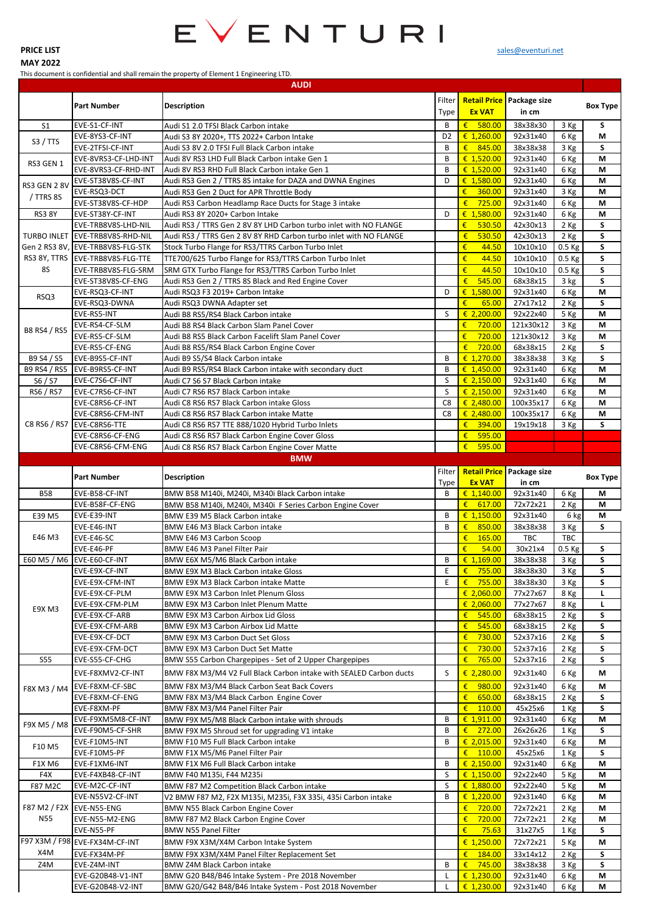

## **MAY 2022**

## This document is confidential and shall remain the property of Element 1 Engineering LTD.

|                |                                    | <b>AUDI</b>                                                        |                |                            |                                  |            |                 |
|----------------|------------------------------------|--------------------------------------------------------------------|----------------|----------------------------|----------------------------------|------------|-----------------|
|                |                                    |                                                                    | Filter         |                            | <b>Retail Price</b> Package size |            |                 |
|                | <b>Part Number</b>                 | <b>Description</b>                                                 | Type           | <b>Ex VAT</b>              | in cm                            |            | <b>Box Type</b> |
|                |                                    |                                                                    |                |                            |                                  |            |                 |
| S <sub>1</sub> | EVE-S1-CF-INT                      | Audi S1 2.0 TFSI Black Carbon intake                               | В              | €<br>580.00                | 38x38x30                         | 3 Kg       | S               |
| S3 / TTS       | EVE-8YS3-CF-INT                    | Audi S3 8Y 2020+, TTS 2022+ Carbon Intake                          | D <sub>2</sub> | € 1,260.00                 | 92x31x40                         | 6 Kg       | M               |
|                | EVE-2TFSI-CF-INT                   | Audi S3 8V 2.0 TFSI Full Black Carbon intake                       | B              | 845.00<br>€                | 38x38x38                         | 3 Kg       | S               |
| RS3 GEN 1      | EVE-8VRS3-CF-LHD-INT               | Audi 8V RS3 LHD Full Black Carbon intake Gen 1                     | B              | € 1,520.00                 | 92x31x40                         | 6 Kg       | M               |
|                | EVE-8VRS3-CF-RHD-INT               | Audi 8V RS3 RHD Full Black Carbon intake Gen 1                     | B              | € $1,520.00$               | 92x31x40                         | 6 Kg       | M               |
| RS3 GEN 2 8V   | EVE-ST38V8S-CF-INT                 | Audi RS3 Gen 2 / TTRS 8S intake for DAZA and DWNA Engines          | D              | € $1,580.00$               | 92x31x40                         | 6 Kg       | M               |
|                | EVE-RSQ3-DCT                       | Audi RS3 Gen 2 Duct for APR Throttle Body                          |                | €<br>360.00                | 92x31x40                         | 3 Kg       | M               |
| / TTRS 8S      | EVE-ST38V8S-CF-HDP                 | Audi RS3 Carbon Headlamp Race Ducts for Stage 3 intake             |                | €<br>725.00                | 92x31x40                         | 6 Kg       | M               |
| <b>RS3 8Y</b>  | EVE-ST38Y-CF-INT                   | Audi RS3 8Y 2020+ Carbon Intake                                    | D              | € $1,580.00$               | 92x31x40                         | 6 Kg       | M               |
|                | EVE-TRB8V8S-LHD-NIL                | Audi RS3 / TTRS Gen 2 8V 8Y LHD Carbon turbo inlet with NO FLANGE  |                | €<br>530.50                | 42x30x13                         | 2 Kg       | $\sf S$         |
|                |                                    |                                                                    |                |                            |                                  |            | $\sf S$         |
|                | TURBO INLET EVE-TRB8V8S-RHD-NIL    | Audi RS3 / TTRS Gen 2 8V 8Y RHD Carbon turbo inlet with NO FLANGE  |                | €<br>530.50                | 42x30x13                         | 2 Kg       |                 |
|                | Gen 2 RS3 8V, EVE-TRB8V8S-FLG-STK  | Stock Turbo Flange for RS3/TTRS Carbon Turbo Inlet                 |                | €<br>44.50                 | 10x10x10                         | 0.5 Kg     | S               |
|                | RS3 8Y, TTRS   EVE-TRB8V8S-FLG-TTE | TTE700/625 Turbo Flange for RS3/TTRS Carbon Turbo Inlet            |                | €<br>44.50                 | 10x10x10                         | 0.5 Kg     | S               |
| 85             | EVE-TRB8V8S-FLG-SRM                | SRM GTX Turbo Flange for RS3/TTRS Carbon Turbo Inlet               |                | €<br>44.50                 | 10x10x10                         | 0.5 Kg     | S               |
|                | EVE-ST38V8S-CF-ENG                 | Audi RS3 Gen 2 / TTRS 8S Black and Red Engine Cover                |                | €<br>545.00                | 68x38x15                         | 3 kg       | $\mathsf{s}$    |
|                | EVE-RSQ3-CF-INT                    | Audi RSQ3 F3 2019+ Carbon Intake                                   | D              | € $1,580.00$               | 92x31x40                         | 6 Kg       | M               |
| RSQ3           | EVE-RSQ3-DWNA                      | Audi RSQ3 DWNA Adapter set                                         |                | €<br>65.00                 | 27x17x12                         | 2 Kg       | S               |
|                | EVE-RS5-INT                        | Audi B8 RS5/RS4 Black Carbon intake                                | S              | € 2,200.00                 | 92x22x40                         | 5 Kg       | M               |
|                | EVE-RS4-CF-SLM                     | Audi B8 RS4 Black Carbon Slam Panel Cover                          |                | €<br>720.00                | 121x30x12                        | 3 Kg       | M               |
| B8 RS4 / RS5   |                                    |                                                                    |                |                            |                                  |            |                 |
|                | EVE-RS5-CF-SLM                     | Audi B8 RS5 Black Carbon Facelift Slam Panel Cover                 |                | €<br>720.00                | 121x30x12                        | 3 Kg       | M               |
|                | EVE-RS5-CF-ENG                     | Audi B8 RS5/RS4 Black Carbon Engine Cover                          |                | €<br>720.00                | 68x38x15                         | 2 Kg       | S               |
| B9 S4 / S5     | EVE-B9S5-CF-INT                    | Audi B9 S5/S4 Black Carbon intake                                  | B              | € $1,270.00$               | 38x38x38                         | 3 Kg       | $\sf S$         |
|                | B9 RS4 / RS5 EVE-B9RS5-CF-INT      | Audi B9 RS5/RS4 Black Carbon intake with secondary duct            | B              | € $1,450.00$               | 92x31x40                         | 6 Kg       | M               |
| S6 / S7        | EVE-C7S6-CF-INT                    | Audi C7 S6 S7 Black Carbon intake                                  | S              | € 2,150.00                 | 92x31x40                         | 6 Kg       | M               |
| RS6 / RS7      | EVE-C7RS6-CF-INT                   | Audi C7 RS6 RS7 Black Carbon intake                                | S              | € 2,150.00                 | 92x31x40                         | 6 Kg       | M               |
|                | EVE-C8RS6-CF-INT                   | Audi C8 RS6 RS7 Black Carbon intake Gloss                          | C <sub>8</sub> | € 2,480.00                 | 100x35x17                        | 6 Kg       | M               |
|                | EVE-C8RS6-CFM-INT                  | Audi C8 RS6 RS7 Black Carbon intake Matte                          | C <sub>8</sub> | € 2,480.00                 | 100x35x17                        | 6 Kg       | M               |
|                | C8 RS6 / RS7 EVE-C8RS6-TTE         |                                                                    |                | €<br>394.00                |                                  |            | S               |
|                |                                    | Audi C8 RS6 RS7 TTE 888/1020 Hybrid Turbo Inlets                   |                |                            | 19x19x18                         | 3 Kg       |                 |
|                | EVE-C8RS6-CF-ENG                   | Audi C8 RS6 RS7 Black Carbon Engine Cover Gloss                    |                | €<br>595.00                |                                  |            |                 |
|                | EVE-C8RS6-CFM-ENG                  | Audi C8 RS6 RS7 Black Carbon Engine Cover Matte                    |                | €<br>595.00                |                                  |            |                 |
|                |                                    | <b>BMW</b>                                                         |                |                            |                                  |            |                 |
|                |                                    |                                                                    | Filter         | <b>Retail Price</b>        | Package size                     |            |                 |
|                | <b>Part Number</b>                 | <b>Description</b>                                                 | Type           | <b>Ex VAT</b>              | in cm                            |            | <b>Box Type</b> |
|                |                                    |                                                                    |                |                            |                                  |            |                 |
| <b>B58</b>     |                                    |                                                                    | B              |                            |                                  |            | M               |
|                | EVE-B58-CF-INT                     | BMW B58 M140i, M240i, M340i Black Carbon intake                    |                | € $1,140.00$               | 92x31x40                         | 6 Kg       |                 |
|                | EVE-B58F-CF-ENG                    | BMW B58 M140i, M240i, M340i F Series Carbon Engine Cover           |                | € $617.00$                 | 72x72x21                         | 2 Kg       | М               |
| E39 M5         | EVE-E39-INT                        | BMW E39 M5 Black Carbon intake                                     | B              | € $1,150.00$               | 92x31x40                         | 6 kg       | М               |
|                | EVE-E46-INT                        | BMW E46 M3 Black Carbon intake                                     | B              | €<br>850.00                | 38x38x38                         | 3 Kg       | S               |
| E46 M3         | EVE-E46-SC                         | BMW E46 M3 Carbon Scoop                                            |                | €<br>165.00                | <b>TBC</b>                       | <b>TBC</b> |                 |
|                | EVE-E46-PF                         | BMW E46 M3 Panel Filter Pair                                       |                | €<br>54.00                 | 30x21x4                          | $0.5$ Kg   | S               |
|                | E60 M5 / M6 EVE-E60-CF-INT         | BMW E6X M5/M6 Black Carbon intake                                  | B              | € $1,169.00$               | 38x38x38                         | 3 Kg       | S               |
|                | EVE-E9X-CF-INT                     | BMW E9X M3 Black Carbon intake Gloss                               | E              | €<br>755.00                | 38x38x30                         | 3 Kg       | S               |
|                | EVE-E9X-CFM-INT                    | BMW E9X M3 Black Carbon intake Matte                               | E              | €<br>755.00                | 38x38x30                         | 3 Kg       | S               |
|                | EVE-E9X-CF-PLM                     | <b>BMW E9X M3 Carbon Inlet Plenum Gloss</b>                        |                | € 2,060.00                 | 77x27x67                         | 8 Kg       | L.              |
|                | EVE-E9X-CFM-PLM                    | <b>BMW E9X M3 Carbon Inlet Plenum Matte</b>                        |                |                            | 77x27x67                         |            | L.              |
| E9X M3         |                                    |                                                                    |                | € 2,060.00                 |                                  | 8 Kg       |                 |
|                | EVE-E9X-CF-ARB                     | <b>BMW E9X M3 Carbon Airbox Lid Gloss</b>                          |                | €<br>545.00                | 68x38x15                         | 2 Kg       | S               |
|                | EVE-E9X-CFM-ARB                    | <b>BMW E9X M3 Carbon Airbox Lid Matte</b>                          |                | €<br>545.00                | 68x38x15                         | 2 Kg       | S               |
|                | EVE-E9X-CF-DCT                     | BMW E9X M3 Carbon Duct Set Gloss                                   |                | €<br>730.00                | 52x37x16                         | 2 Kg       | S               |
|                | EVE-E9X-CFM-DCT                    | BMW E9X M3 Carbon Duct Set Matte                                   |                | €<br>730.00                | 52x37x16                         | 2 Kg       | S               |
| <b>S55</b>     | EVE-S55-CF-CHG                     | BMW S55 Carbon Chargepipes - Set of 2 Upper Chargepipes            |                | €<br>765.00                | 52x37x16                         | 2 Kg       | S               |
|                | EVE-F8XMV2-CF-INT                  | BMW F8X M3/M4 V2 Full Black Carbon intake with SEALED Carbon ducts | S              | € 2,280.00                 | 92x31x40                         | 6 Kg       | M               |
|                |                                    |                                                                    |                |                            |                                  |            |                 |
| F8X M3 / M4    | EVE-F8XM-CF-SBC                    | BMW F8X M3/M4 Black Carbon Seat Back Covers                        |                | €<br>980.00                | 92x31x40                         | 6 Kg       | M               |
|                | EVE-F8XM-CF-ENG                    | BMW F8X M3/M4 Black Carbon Engine Cover                            |                | €<br>650.00                | 68x38x15                         | 2 Kg       | S               |
|                | EVE-F8XM-PF                        | BMW F8X M3/M4 Panel Filter Pair                                    |                | €<br>110.00                | 45x25x6                          | 1 Kg       | S               |
| F9X M5 / M8    | EVE-F9XM5M8-CF-INT                 | BMW F9X M5/M8 Black Carbon intake with shrouds                     | B              | € $1,911.00$               | 92x31x40                         | 6 Kg       | M               |
|                | EVE-F90M5-CF-SHR                   | BMW F9X M5 Shroud set for upgrading V1 intake                      | B              | €<br>272.00                | 26x26x26                         | 1 Kg       | S               |
|                | EVE-F10M5-INT                      | BMW F10 M5 Full Black Carbon intake                                | B              | € 2,015.00                 | 92x31x40                         | 6 Kg       | М               |
| F10 M5         | EVE-F10M5-PF                       | BMW F1X M5/M6 Panel Filter Pair                                    |                | $\epsilon$ 110.00          | 45x25x6                          | 1 Kg       | S               |
| <b>F1X M6</b>  | EVE-F1XM6-INT                      | BMW F1X M6 Full Black Carbon intake                                | B              | € 2,150.00                 | 92x31x40                         | 6 Kg       | M               |
| F4X            | EVE-F4XB48-CF-INT                  | BMW F40 M135i, F44 M235i                                           | S              | € $1,150.00$               | 92x22x40                         | 5 Kg       | М               |
| F87 M2C        | EVE-M2C-CF-INT                     | BMW F87 M2 Competition Black Carbon intake                         | S              | € $1,880.00$               | 92x22x40                         | 5 Kg       | М               |
|                | EVE-N55V2-CF-INT                   |                                                                    | B              | € $1,220.00$               | 92x31x40                         |            | M               |
|                |                                    | V2 BMW F87 M2, F2X M135i, M235i, F3X 335i, 435i Carbon intake      |                |                            |                                  | 6 Kg       |                 |
|                | F87 M2 / F2X EVE-N55-ENG           | BMW N55 Black Carbon Engine Cover                                  |                | €<br>720.00                | 72x72x21                         | 2 Kg       | М               |
| <b>N55</b>     | EVE-N55-M2-ENG                     | BMW F87 M2 Black Carbon Engine Cover                               |                | €<br>720.00                | 72x72x21                         | 2 Kg       | М               |
|                | EVE-N55-PF                         | <b>BMW N55 Panel Filter</b>                                        |                | €<br>75.63                 | 31x27x5                          | 1 Kg       | S               |
|                | F97 X3M / F98 EVE-FX34M-CF-INT     | BMW F9X X3M/X4M Carbon Intake System                               |                | € $1,250.00$               | 72x72x21                         | 5 Kg       | M               |
| X4M            | EVE-FX34M-PF                       | BMW F9X X3M/X4M Panel Filter Replacement Set                       |                | €<br>184.00                | 33x14x12                         | 2 Kg       | S               |
| Z4M            | EVE-Z4M-INT                        | <b>BMW Z4M Black Carbon intake</b>                                 | B              | €<br>745.00                | 38x38x38                         | 3 Kg       | S               |
|                | EVE-G20B48-V1-INT                  | BMW G20 B48/B46 Intake System - Pre 2018 November                  | L              | € 1,230.00<br>€ $1,230.00$ | 92x31x40                         | 6 Kg       | М               |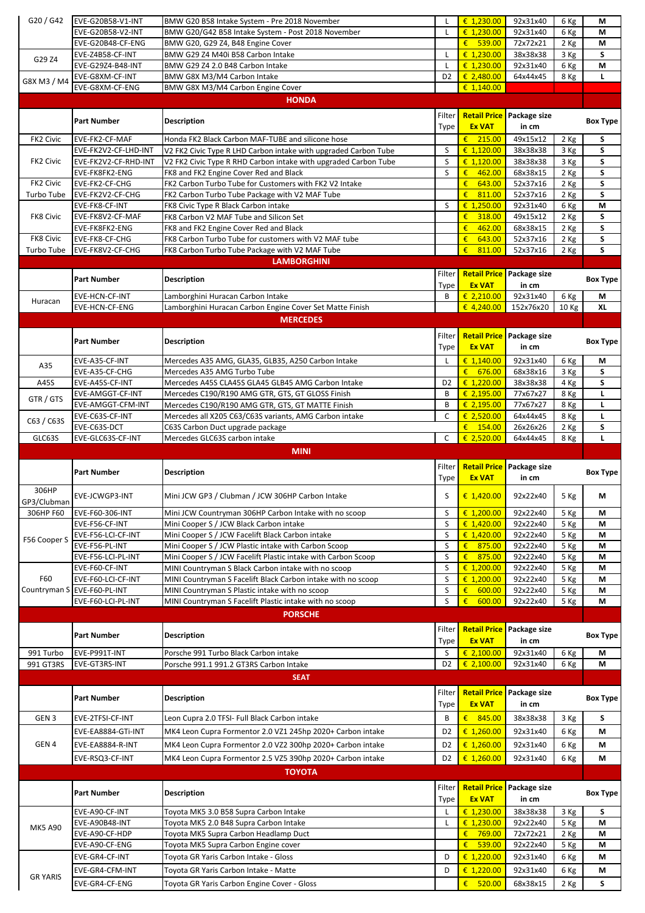| G20 / G42        | EVE-G20B58-V1-INT                 | BMW G20 B58 Intake System - Pre 2018 November                                        |                | € 1,230.00                   | 92x31x40                         | 6 Kg         | М               |
|------------------|-----------------------------------|--------------------------------------------------------------------------------------|----------------|------------------------------|----------------------------------|--------------|-----------------|
|                  | EVE-G20B58-V2-INT                 | BMW G20/G42 B58 Intake System - Post 2018 November                                   |                | € 1,230.00                   | 92x31x40                         |              | М               |
|                  |                                   |                                                                                      |                |                              |                                  | 6 Kg         |                 |
|                  | EVE-G20B48-CF-ENG                 | BMW G20, G29 Z4, B48 Engine Cover                                                    |                | € 539.00                     | 72x72x21                         | 2 Kg         | M               |
|                  | EVE-Z4B58-CF-INT                  | BMW G29 Z4 M40i B58 Carbon Intake                                                    |                | € 1,230.00                   |                                  |              | S               |
| G29 Z4           |                                   |                                                                                      |                |                              | 38x38x38                         | 3 Kg         |                 |
|                  | EVE-G29Z4-B48-INT                 | BMW G29 Z4 2.0 B48 Carbon Intake                                                     |                | € 1,230.00                   | 92x31x40                         | 6 Kg         | M               |
|                  | EVE-G8XM-CF-INT                   | BMW G8X M3/M4 Carbon Intake                                                          | D <sub>2</sub> | € 2,480.00                   | 64x44x45                         | 8 Kg         | L               |
| G8X M3 / M4      |                                   |                                                                                      |                |                              |                                  |              |                 |
|                  | EVE-G8XM-CF-ENG                   | BMW G8X M3/M4 Carbon Engine Cover                                                    |                | € $1,140.00$                 |                                  |              |                 |
|                  |                                   |                                                                                      |                |                              |                                  |              |                 |
|                  |                                   | <b>HONDA</b>                                                                         |                |                              |                                  |              |                 |
|                  |                                   |                                                                                      |                |                              |                                  |              |                 |
|                  | <b>Part Number</b>                | <b>Description</b>                                                                   | Filter         | <b>Retail Price</b>          | Package size                     |              | <b>Box Type</b> |
|                  |                                   |                                                                                      | Type           | <b>Ex VAT</b>                | in cm                            |              |                 |
|                  |                                   |                                                                                      |                |                              |                                  |              |                 |
| FK2 Civic        | EVE-FK2-CF-MAF                    | Honda FK2 Black Carbon MAF-TUBE and silicone hose                                    |                | €<br>215.00                  | 49x15x12                         | 2 Kg         | S               |
|                  | EVE-FK2V2-CF-LHD-INT              | V2 FK2 Civic Type R LHD Carbon intake with upgraded Carbon Tube                      | S              | € 1,120.00                   | 38x38x38                         | 3 Kg         | S               |
|                  |                                   |                                                                                      |                |                              |                                  |              |                 |
| FK2 Civic        | EVE-FK2V2-CF-RHD-INT              | V2 FK2 Civic Type R RHD Carbon intake with upgraded Carbon Tube                      | S              | € 1,120.00                   | 38x38x38                         | 3 Kg         | S               |
|                  | EVE-FK8FK2-ENG                    | FK8 and FK2 Engine Cover Red and Black                                               | S              | €<br>462.00                  | 68x38x15                         | 2 Kg         | S               |
| FK2 Civic        |                                   |                                                                                      |                |                              |                                  |              |                 |
|                  | EVE-FK2-CF-CHG                    | FK2 Carbon Turbo Tube for Customers with FK2 V2 Intake                               |                | €<br>643.00                  | 52x37x16                         | 2 Kg         | S               |
| Turbo Tube       | EVE-FK2V2-CF-CHG                  | FK2 Carbon Turbo Tube Package with V2 MAF Tube                                       |                | €<br>811.00                  | 52x37x16                         | 2 Kg         | S               |
|                  |                                   |                                                                                      | S              |                              |                                  |              |                 |
|                  | EVE-FK8-CF-INT                    | FK8 Civic Type R Black Carbon intake                                                 |                | € 1,250.00                   | 92x31x40                         | 6 Kg         | M               |
| <b>FK8 Civic</b> | EVE-FK8V2-CF-MAF                  | FK8 Carbon V2 MAF Tube and Silicon Set                                               |                | €<br>318.00                  | 49x15x12                         | 2 Kg         | S               |
|                  | EVE-FK8FK2-ENG                    | FK8 and FK2 Engine Cover Red and Black                                               |                | €<br>462.00                  | 68x38x15                         |              | S               |
|                  |                                   |                                                                                      |                |                              |                                  | 2 Kg         |                 |
| FK8 Civic        | EVE-FK8-CF-CHG                    | FK8 Carbon Turbo Tube for customers with V2 MAF tube                                 |                | €<br>643.00                  | 52x37x16                         | 2 Kg         | S               |
|                  |                                   |                                                                                      |                |                              |                                  |              | S               |
| Turbo Tube       | EVE-FK8V2-CF-CHG                  | FK8 Carbon Turbo Tube Package with V2 MAF Tube                                       |                | €<br>811.00                  | 52x37x16                         | 2 Kg         |                 |
|                  |                                   | <b>LAMBORGHINI</b>                                                                   |                |                              |                                  |              |                 |
|                  |                                   |                                                                                      |                |                              |                                  |              |                 |
|                  | <b>Part Number</b>                | <b>Description</b>                                                                   | Filter         | <b>Retail Price</b>          | Package size                     |              | <b>Box Type</b> |
|                  |                                   |                                                                                      | Type           | <b>Ex VAT</b>                | in cm                            |              |                 |
|                  |                                   |                                                                                      |                |                              |                                  |              |                 |
| Huracan          | <b>EVE-HCN-CF-INT</b>             | Lamborghini Huracan Carbon Intake                                                    | B              | € 2,210.00                   | 92x31x40                         | 6 Kg         | М               |
|                  | <b>EVE-HCN-CF-ENG</b>             | Lamborghini Huracan Carbon Engine Cover Set Matte Finish                             |                | € 4,240.00                   | 152x76x20                        | 10 Kg        | <b>XL</b>       |
|                  |                                   |                                                                                      |                |                              |                                  |              |                 |
|                  |                                   | <b>MERCEDES</b>                                                                      |                |                              |                                  |              |                 |
|                  |                                   |                                                                                      |                |                              |                                  |              |                 |
|                  |                                   |                                                                                      | Filter         |                              | <b>Retail Price</b> Package size |              |                 |
|                  | <b>Part Number</b>                | <b>Description</b>                                                                   |                |                              |                                  |              | <b>Box Type</b> |
|                  |                                   |                                                                                      | Type           | <b>Ex VAT</b>                | in cm                            |              |                 |
|                  | EVE-A35-CF-INT                    | Mercedes A35 AMG, GLA35, GLB35, A250 Carbon Intake                                   |                | € $1,140.00$                 | 92x31x40                         | 6 Kg         | М               |
| A35              |                                   |                                                                                      |                |                              |                                  |              |                 |
|                  | EVE-A35-CF-CHG                    | Mercedes A35 AMG Turbo Tube                                                          |                | €<br>676.00                  | 68x38x16                         | 3 Kg         | S               |
| A45S             | EVE-A45S-CF-INT                   | Mercedes A45S CLA45S GLA45 GLB45 AMG Carbon Intake                                   | D <sub>2</sub> | € 1,220.00                   | 38x38x38                         | 4 Kg         | S               |
|                  |                                   |                                                                                      |                |                              |                                  |              |                 |
| GTR / GTS        | <b>EVE-AMGGT-CF-INT</b>           | Mercedes C190/R190 AMG GTR, GTS, GT GLOSS Finish                                     | B              | € 2,195.00                   | 77x67x27                         | 8 Kg         | L               |
|                  | EVE-AMGGT-CFM-INT                 | Mercedes C190/R190 AMG GTR, GTS, GT MATTE Finish                                     | B              | € 2,195.00                   | 77x67x27                         | 8 Kg         | L               |
|                  |                                   |                                                                                      |                |                              |                                  |              |                 |
| C63 / C63S       | EVE-C63S-CF-INT                   | Mercedes all X205 C63/C63S variants, AMG Carbon intake                               | C              | € 2,520.00                   | 64x44x45                         | 8 Kg         | L               |
|                  | EVE-C63S-DCT                      | C63S Carbon Duct upgrade package                                                     |                | $E = 154.00$                 | 26x26x26                         | 2 Kg         | S               |
|                  |                                   |                                                                                      |                |                              |                                  |              |                 |
| GLC63S           | EVE-GLC63S-CF-INT                 | Mercedes GLC63S carbon intake                                                        | C              | € 2,520.00                   | 64x44x45                         | 8 Kg         | L.              |
|                  |                                   |                                                                                      |                |                              |                                  |              |                 |
|                  |                                   |                                                                                      |                |                              |                                  |              |                 |
|                  |                                   | <b>MINI</b>                                                                          |                |                              |                                  |              |                 |
|                  |                                   |                                                                                      |                |                              |                                  |              |                 |
|                  | <b>Part Number</b>                |                                                                                      | Filter         | <b>Retail Price</b>          | Package size                     |              |                 |
|                  |                                   | <b>Description</b>                                                                   | Type           | <b>Ex VAT</b>                | in cm                            |              | <b>Box Type</b> |
|                  |                                   |                                                                                      |                |                              |                                  |              |                 |
| 306HP            |                                   |                                                                                      |                |                              |                                  |              |                 |
|                  | EVE-JCWGP3-INT                    | Mini JCW GP3 / Clubman / JCW 306HP Carbon Intake                                     | S              | € $1,420.00$                 | 92x22x40                         | 5 Kg         | M               |
| GP3/Clubman      |                                   |                                                                                      |                |                              |                                  |              |                 |
| 306HP F60        | EVE-F60-306-INT                   | Mini JCW Countryman 306HP Carbon Intake with no scoop                                | S              | € 1,200.00                   | 92x22x40                         | 5 Kg         | M               |
|                  | EVE-F56-CF-INT                    | Mini Cooper S / JCW Black Carbon intake                                              | S              | € $1,420.00$                 | 92x22x40                         |              | M               |
|                  |                                   |                                                                                      |                |                              |                                  | 5 Kg         |                 |
|                  | EVE-F56-LCI-CF-INT                | Mini Cooper S / JCW Facelift Black Carbon intake                                     | S              | € $1,420.00$                 | 92x22x40                         | 5 Kg         | M               |
| F56 Cooper S     | EVE-F56-PL-INT                    | Mini Cooper S / JCW Plastic intake with Carbon Scoop                                 | $\sf S$        | €<br>875.00                  | 92x22x40                         | 5 Kg         | М               |
|                  |                                   |                                                                                      |                |                              |                                  |              |                 |
|                  | EVE-F56-LCI-PL-INT                | Mini Cooper S / JCW Facelift Plastic intake with Carbon Scoop                        | S              | $\pmb{\epsilon}$<br>875.00   | 92x22x40                         | 5 Kg         | М               |
|                  | EVE-F60-CF-INT                    | MINI Countryman S Black Carbon intake with no scoop                                  | $\sf S$        | € 1,200.00                   | 92x22x40                         | 5 Kg         | М               |
|                  |                                   |                                                                                      |                |                              |                                  |              |                 |
| F60              | EVE-F60-LCI-CF-INT                | MINI Countryman S Facelift Black Carbon intake with no scoop                         | S              | € 1,200.00                   | 92x22x40                         | 5 Kg         | М               |
| Countryman S     | EVE-F60-PL-INT                    | MINI Countryman S Plastic intake with no scoop                                       | $\sf S$        | $\epsilon$<br>600.00         | 92x22x40                         | 5 Kg         | М               |
|                  |                                   |                                                                                      |                |                              |                                  |              |                 |
|                  | EVE-F60-LCI-PL-INT                | MINI Countryman S Facelift Plastic intake with no scoop                              | $\mathsf S$    | $\epsilon$<br>600.00         | 92x22x40                         | 5 Kg         | М               |
|                  |                                   | <b>PORSCHE</b>                                                                       |                |                              |                                  |              |                 |
|                  |                                   |                                                                                      |                |                              |                                  |              |                 |
|                  |                                   |                                                                                      | Filter         | <b>Retail Price</b>          | Package size                     |              |                 |
|                  | <b>Part Number</b>                | <b>Description</b>                                                                   |                |                              | in cm                            |              | <b>Box Type</b> |
|                  |                                   |                                                                                      | Type           | <b>Ex VAT</b>                |                                  |              |                 |
| 991 Turbo        | EVE-P991T-INT                     | Porsche 991 Turbo Black Carbon intake                                                | S.             | € 2,100.00                   | 92x31x40                         | 6 Kg         | M               |
|                  |                                   |                                                                                      |                |                              |                                  |              |                 |
| 991 GT3RS        | EVE-GT3RS-INT                     | Porsche 991.1 991.2 GT3RS Carbon Intake                                              | D <sub>2</sub> | € 2,100.00                   | 92x31x40                         | 6 Kg         | M               |
|                  |                                   | <b>SEAT</b>                                                                          |                |                              |                                  |              |                 |
|                  |                                   |                                                                                      |                |                              |                                  |              |                 |
|                  |                                   |                                                                                      | Filter         | <b>Retail Price</b>          | Package size                     |              |                 |
|                  | <b>Part Number</b>                | <b>Description</b>                                                                   |                |                              |                                  |              | <b>Box Type</b> |
|                  |                                   |                                                                                      | Type           | <b>Ex VAT</b>                | in cm                            |              |                 |
|                  |                                   |                                                                                      | B              |                              |                                  |              |                 |
| GEN <sub>3</sub> | EVE-2TFSI-CF-INT                  | Leon Cupra 2.0 TFSI- Full Black Carbon intake                                        |                | $\epsilon$<br>845.00         | 38x38x38                         | 3 Kg         | S               |
|                  | EVE-EA8884-GTi-INT                | MK4 Leon Cupra Formentor 2.0 VZ1 245hp 2020+ Carbon intake                           | D <sub>2</sub> | € $1,260.00$                 | 92x31x40                         | 6 Kg         | M               |
|                  |                                   |                                                                                      |                |                              |                                  |              |                 |
| GEN 4            | EVE-EA8884-R-INT                  | MK4 Leon Cupra Formentor 2.0 VZ2 300hp 2020+ Carbon intake                           | D <sub>2</sub> | € $1,260.00$                 | 92x31x40                         | 6 Kg         | M               |
|                  |                                   |                                                                                      |                |                              |                                  |              |                 |
|                  | EVE-RSQ3-CF-INT                   | MK4 Leon Cupra Formentor 2.5 VZ5 390hp 2020+ Carbon intake                           | D <sub>2</sub> | € 1,260.00                   | 92x31x40                         | 6 Kg         | М               |
|                  |                                   |                                                                                      |                |                              |                                  |              |                 |
|                  |                                   | <b>TOYOTA</b>                                                                        |                |                              |                                  |              |                 |
|                  |                                   |                                                                                      |                |                              |                                  |              |                 |
|                  | <b>Part Number</b>                | <b>Description</b>                                                                   | Filter         | <b>Retail Price</b>          | Package size                     |              |                 |
|                  |                                   |                                                                                      | Type           | <b>Ex VAT</b>                | in cm                            |              | <b>Box Type</b> |
|                  |                                   |                                                                                      |                |                              |                                  |              |                 |
|                  | EVE-A90-CF-INT                    | Toyota MK5 3.0 B58 Supra Carbon Intake                                               |                | € 1,230.00                   | 38x38x38                         | 3 Kg         | S               |
|                  | EVE-A90B48-INT                    | Toyota MK5 2.0 B48 Supra Carbon Intake                                               |                | € 1,230.00                   | 92x22x40                         | 5 Kg         | M               |
| <b>MK5 A90</b>   |                                   |                                                                                      |                |                              |                                  |              |                 |
|                  | EVE-A90-CF-HDP                    | Toyota MK5 Supra Carbon Headlamp Duct                                                |                | €<br>769.00                  | 72x72x21                         | 2 Kg         | M               |
|                  | EVE-A90-CF-ENG                    | Toyota MK5 Supra Carbon Engine cover                                                 |                | €<br>539.00                  | 92x22x40                         | 5 Kg         | М               |
|                  |                                   |                                                                                      |                |                              |                                  |              |                 |
|                  | EVE-GR4-CF-INT                    | Toyota GR Yaris Carbon Intake - Gloss                                                | D              | € 1,220.00                   | 92x31x40                         | 6 Kg         | М               |
|                  |                                   |                                                                                      |                |                              |                                  |              |                 |
| <b>GR YARIS</b>  | EVE-GR4-CFM-INT<br>EVE-GR4-CF-ENG | Toyota GR Yaris Carbon Intake - Matte<br>Toyota GR Yaris Carbon Engine Cover - Gloss | D              | € $1,220.00$<br>$E = 520.00$ | 92x31x40<br>68x38x15             | 6 Kg<br>2 Kg | M<br>S          |